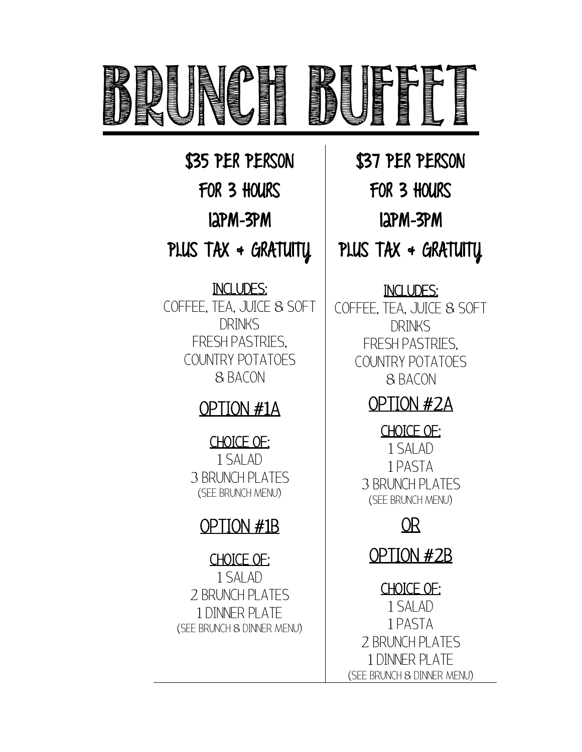

\$35 PER PERSON FOR 3 HOURS 12PM-3PM PLUS TAX + GRATUITY

INCLUDES: COFFEE, TEA, JUICE & SOFT DRINKS FRESH PASTRIES, COUNTRY POTATOES & BACON

\$37 PER PERSON FOR 3 HOURS 12PM-3PM PLUS TAX + GRATUITY

### INCLUDES:

COFFEE, TEA, JUICE & SOFT DRINKS FRESH PASTRIES, COUNTRY POTATOES & BACON

# OPTION #2A

CHOICE OF: 1 SALAD 1 PASTA 3 BRUNCH PLATES (SEE BRUNCH MENU)

# OR

OPTION #2B

CHOICE OF: 1 SALAD 1 PASTA 2 BRUNCH PLATES 1 DINNER PLATE (SEE BRUNCH & DINNER MENU)

### 3 BRUNCH PLATES (SEE BRUNCH MENU)

OPTION #1A

CHOICE OF: 1 SALAD

# OPTION #1B

CHOICE OF: 1 SALAD 2 BRUNCH PLATES 1 DINNER PLATE (SEE BRUNCH & DINNER MENU)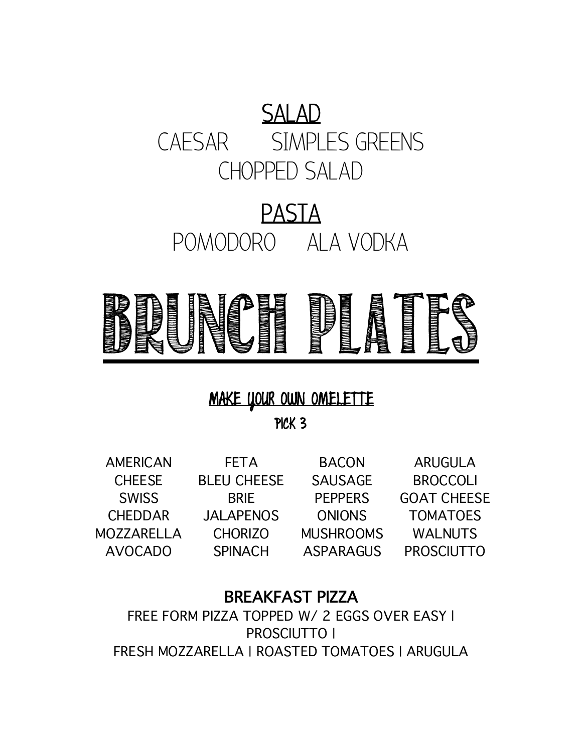# SALAD CAESAR SIMPLES GREENS CHOPPED SALAD

# PASTA POMODORO ALA VODKA



# MAKE YOUR OWN OMELETTE

PICK 3

AMERICAN **CHEESE** SWISS CHEDDAR MOZZARELLA AVOCADO

**FETA** BLEU CHEESE BRIE JALAPENOS SPINACH

CHORIZO MUSHROOMS BACON SAUSAGE PEPPERS

ONIONS TOMATOES ASPARAGUS PROSCIUTTO ARUGULA **BROCCOLI** GOAT CHEESE WALNUTS

### BREAKFAST PIZZA

FREE FORM PIZZA TOPPED W/ 2 EGGS OVER EASY I PROSCIUTTO | FRESH MOZZARELLA | ROASTED TOMATOES | ARUGULA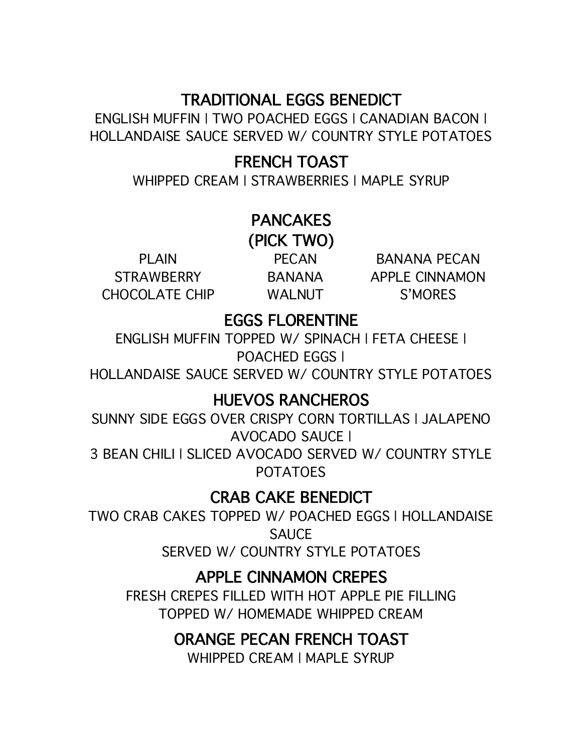### TRADITIONAL EGGS BENEDICT

ENGLISH MUFFIN | TWO POACHED EGGS | CANADIAN BACON | HOLLANDAISE SAUCE SERVED W/ COUNTRY STYLE POTATOES

### FRENCH TOAST

WHIPPED CREAM | STRAWBERRIES | MAPLE SYRUP

# PANCAKES

(PICK TWO)

PLAIN STRAWBERRY CHOCOLATE CHIP

PECAN WALNUT

BANANA APPLE CINNAMON BANANA PECAN S'MORES

# EGGS FLORENTINE

ENGLISH MUFFIN TOPPED W/ SPINACH | FETA CHEESE | POACHED EGGS |

HOLLANDAISE SAUCE SERVED W/ COUNTRY STYLE POTATOES

### HUEVOS RANCHEROS

SUNNY SIDE EGGS OVER CRISPY CORN TORTILLAS | JALAPENO AVOCADO SAUCE |

3 BEAN CHILI | SLICED AVOCADO SERVED W/ COUNTRY STYLE POTATOES

### CRAB CAKE BENEDICT

TWO CRAB CAKES TOPPED W/ POACHED EGGS | HOLLANDAISE **SAUCE** SERVED W/ COUNTRY STYLE POTATOES

### APPLE CINNAMON CREPES

FRESH CREPES FILLED WITH HOT APPLE PIE FILLING TOPPED W/ HOMEMADE WHIPPED CREAM

### ORANGE PECAN FRENCH TOAST

WHIPPED CREAM | MAPLE SYRUP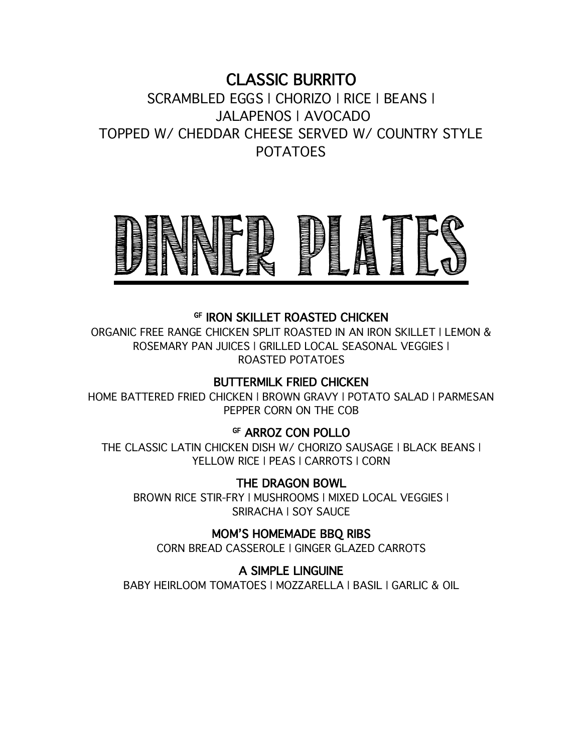### CLASSIC BURRITO

SCRAMBLED EGGS | CHORIZO | RICE | BEANS | JALAPENOS | AVOCADO TOPPED W/ CHEDDAR CHEESE SERVED W/ COUNTRY STYLE POTATOES



#### GF IRON SKILLET ROASTED CHICKEN

ORGANIC FREE RANGE CHICKEN SPLIT ROASTED IN AN IRON SKILLET | LEMON & ROSEMARY PAN JUICES | GRILLED LOCAL SEASONAL VEGGIES | ROASTED POTATOES

#### BUTTERMILK FRIED CHICKEN

HOME BATTERED FRIED CHICKEN | BROWN GRAVY | POTATO SALAD | PARMESAN PEPPER CORN ON THE COB

#### GF ARROZ CON POLLO

THE CLASSIC LATIN CHICKEN DISH W/ CHORIZO SAUSAGE | BLACK BEANS | YELLOW RICE | PEAS | CARROTS | CORN

#### THE DRAGON BOWL

BROWN RICE STIR-FRY | MUSHROOMS | MIXED LOCAL VEGGIES | SRIRACHA | SOY SAUCE

MOM'S HOMEMADE BBQ RIBS

CORN BREAD CASSEROLE | GINGER GLAZED CARROTS

#### A SIMPLE LINGUINE

BABY HEIRLOOM TOMATOES | MOZZARELLA | BASIL | GARLIC & OIL